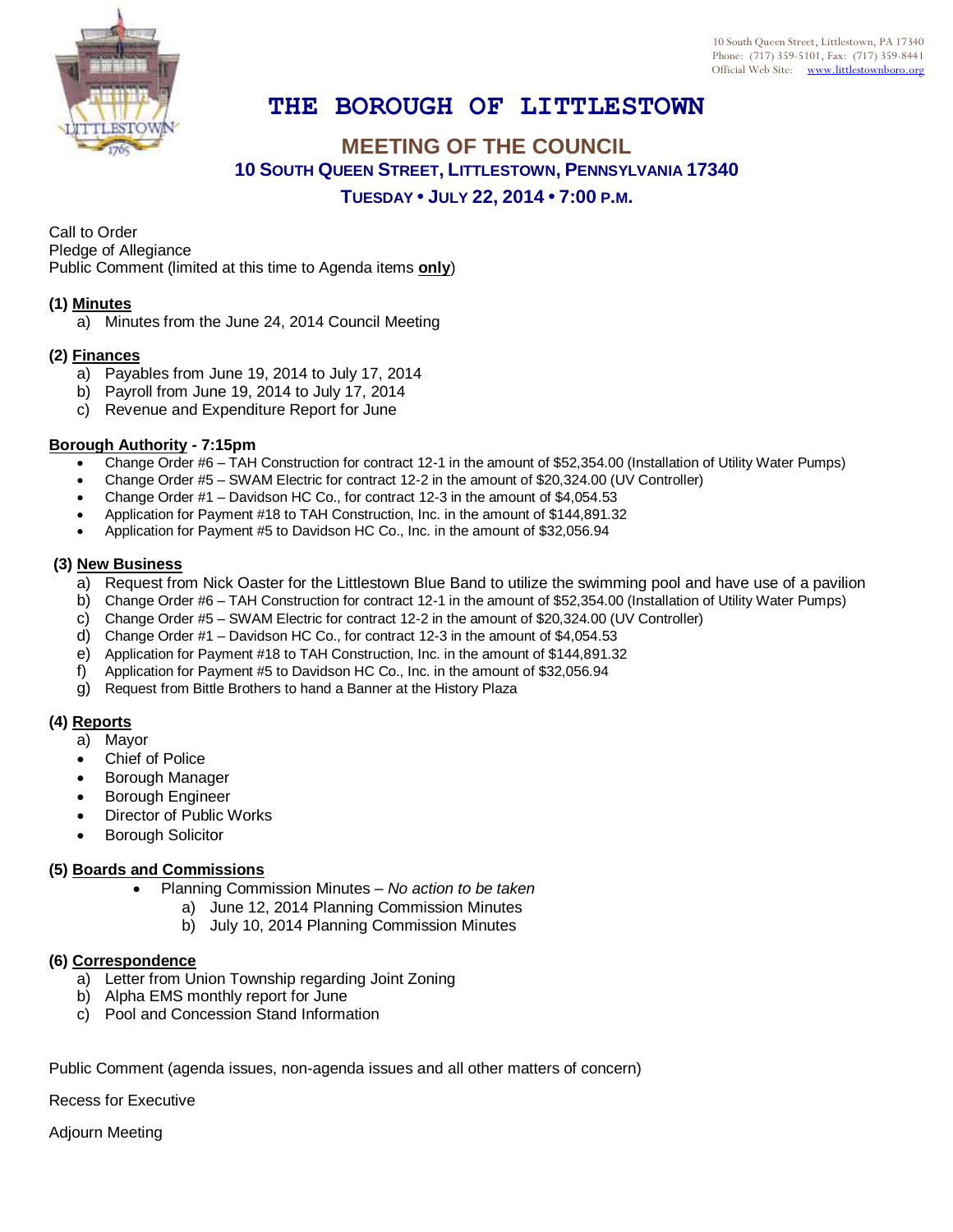

# **THE BOROUGH OF LITTLESTOWN**

## **MEETING OF THE COUNCIL 10 SOUTH QUEEN STREET, LITTLESTOWN, PENNSYLVANIA 17340 TUESDAY • JULY 22, 2014 • 7:00 P.M.**

Call to Order Pledge of Allegiance

Public Comment (limited at this time to Agenda items **only**)

### **(1) Minutes**

a) Minutes from the June 24, 2014 Council Meeting

#### **(2) Finances**

- a) Payables from June 19, 2014 to July 17, 2014
- b) Payroll from June 19, 2014 to July 17, 2014
- c) Revenue and Expenditure Report for June

#### **Borough Authority - 7:15pm**

- Change Order #6 TAH Construction for contract 12-1 in the amount of \$52,354.00 (Installation of Utility Water Pumps)
- Change Order #5 SWAM Electric for contract 12-2 in the amount of \$20,324.00 (UV Controller)
- Change Order #1 Davidson HC Co., for contract 12-3 in the amount of \$4,054.53
- Application for Payment #18 to TAH Construction, Inc. in the amount of \$144,891.32
- Application for Payment #5 to Davidson HC Co., Inc. in the amount of \$32,056.94

#### **(3) New Business**

- a) Request from Nick Oaster for the Littlestown Blue Band to utilize the swimming pool and have use of a pavilion
- b) Change Order #6 TAH Construction for contract 12-1 in the amount of \$52,354.00 (Installation of Utility Water Pumps)
- c) Change Order #5 SWAM Electric for contract 12-2 in the amount of \$20,324.00 (UV Controller)
- d) Change Order #1 Davidson HC Co., for contract 12-3 in the amount of \$4,054.53
- e) Application for Payment #18 to TAH Construction, Inc. in the amount of \$144,891.32
- f) Application for Payment #5 to Davidson HC Co., Inc. in the amount of \$32,056.94
- g) Request from Bittle Brothers to hand a Banner at the History Plaza

## **(4) Reports**

- a) Mayor
- Chief of Police
- Borough Manager
- Borough Engineer
- Director of Public Works
- Borough Solicitor

#### **(5) Boards and Commissions**

- Planning Commission Minutes *No action to be taken*
	- a) June 12, 2014 Planning Commission Minutes
	- b) July 10, 2014 Planning Commission Minutes

#### **(6) Correspondence**

- a) Letter from Union Township regarding Joint Zoning
- b) Alpha EMS monthly report for June
- c) Pool and Concession Stand Information

Public Comment (agenda issues, non-agenda issues and all other matters of concern)

Recess for Executive

Adjourn Meeting